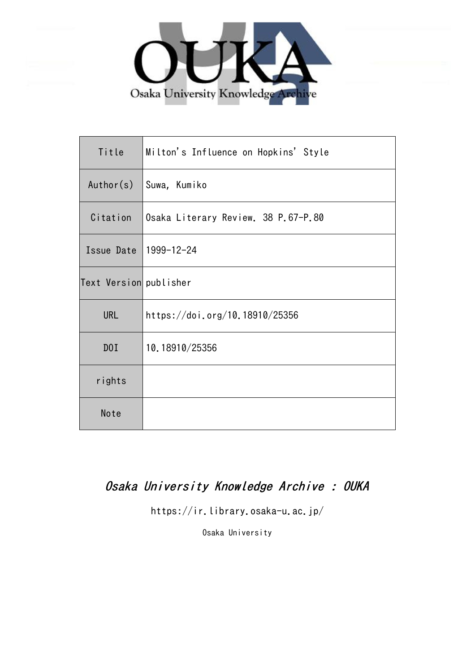

| Title                  | Milton's Influence on Hopkins' Style |
|------------------------|--------------------------------------|
| Author(s)              | Suwa, Kumiko                         |
| Citation               | Osaka Literary Review. 38 P.67-P.80  |
| Issue Date             | 1999-12-24                           |
| Text Version publisher |                                      |
| <b>URL</b>             | https://doi.org/10.18910/25356       |
| D0I                    | 10.18910/25356                       |
| rights                 |                                      |
| Note                   |                                      |

# Osaka University Knowledge Archive : OUKA

https://ir.library.osaka-u.ac.jp/

Osaka University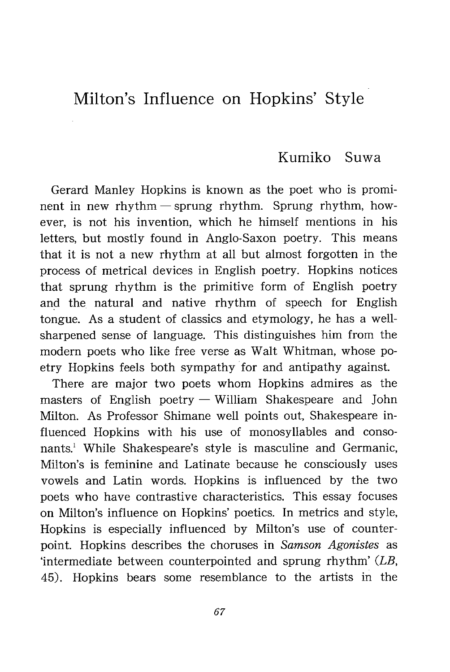## Milton's Influence on Hopkins' Style

## Kumiko Suwa

Gerard Manley Hopkins is known as the poet who is prominent in new rhythm — sprung rhythm. Sprung rhythm, however, is not his invention, which he himself mentions in his letters, but mostly found in Anglo-Saxon poetry. This means that it is not a new rhythm at all but almost forgotten in the process of metrical devices in English poetry. Hopkins notices that sprung rhythm is the primitive form of English poetry and the natural and native rhythm of speech for English tongue. As a student of classics and etymology, he has a wellsharpened sense of language. This distinguishes him from the modern poets who like free verse as Walt Whitman, whose poetry Hopkins feels both sympathy for and antipathy against.

There are major two poets whom Hopkins admires as the masters of English poetry — William Shakespeare and John Milton. As Professor Shimane well points out, Shakespeare influenced Hopkins with his use of monosyllables and consonants.' While Shakespeare's style is masculine and Germanic, Milton's is feminine and Latinate because he consciously uses vowels and Latin words. Hopkins is influenced by the two poets who have contrastive characteristics. This essay focuses on Milton's influence on Hopkins' poetics. In metrics and style, Hopkins is especially influenced by Milton's use of counterpoint. Hopkins describes the choruses in Samson Agonistes as intermediate between counterpointed and sprung rhythm' (LB, 45). Hopkins bears some resemblance to the artists in the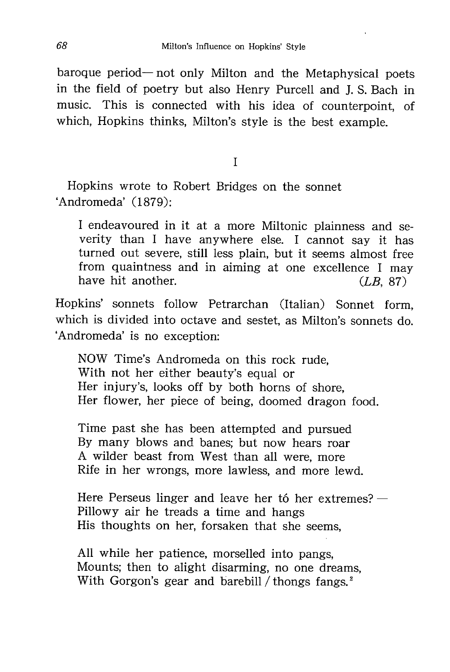baroque period— not only Milton and the Metaphysical poets in the field of poetry but also Henry Purcell and J. S. Bach in music. This is connected with his idea of counterpoint, of which, Hopkins thinks, Milton's style is the best example.

I

Hopkins wrote to Robert Bridges on the sonnet `Andromeda' (1879):

I endeavoured in it at a more Miltonic plainness and severity than I have anywhere else. I cannot say it has turned out severe, still less plain, but it seems almost free from quaintness and in aiming at one excellence I may have hit another. (*LB*, 87)

Hopkins' sonnets follow Petrarchan (Italian) Sonnet form , which is divided into octave and sestet, as Milton's sonnets do. `Andromeda' is no e xception:

NOW Time's Andromeda on this rock rude, With not her either beauty's equal or Her injury's, looks off by both horns of shore, Her flower, her piece of being, doomed dragon food.

Time past she has been attempted and pursued By many blows and banes; but now hears roar A wilder beast from West than all were, more Rife in her wrongs, more lawless, and more lewd.

Here Perseus linger and leave her tó her extremes? — Pillowy air he treads a time and hangs His thoughts on her, forsaken that she seems,

All while her patience, morselled into pangs, Mounts; then to alight disarming, no one dreams, With Gorgon's gear and barebill / thongs fangs.<sup>2</sup>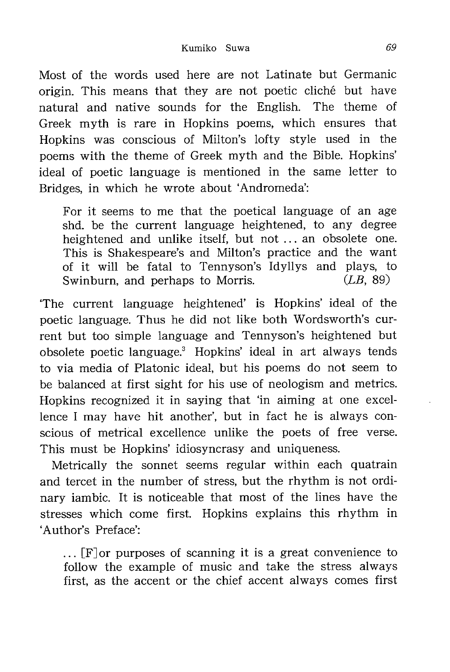Most of the words used here are not Latinate but Germanic origin. This means that they are not poetic cliché but have natural and native sounds for the English. The theme of Greek myth is rare in Hopkins poems, which ensures that Hopkins was conscious of Milton's lofty style used in the poems with the theme of Greek myth and the Bible. Hopkins' ideal of poetic language is mentioned in the same letter to Bridges, in which he wrote about 'Andromeda':

For it seems to me that the poetical language of an age shd. be the current language heightened, to any degree heightened and unlike itself, but not ... an obsolete one. This is Shakespeare's and Milton's practice and the want of it will be fatal to Tennyson's Idyllys and plays, to Swinburn, and perhaps to Morris. (*LB*, 89)

The current language heightened' is Hopkins' ideal of the poetic language. Thus he did not like both Wordsworth's current but too simple language and Tennyson's heightened but obsolete poetic language.' Hopkins' ideal in art always tends to via media of Platonic ideal, but his poems do not seem to be balanced at first sight for his use of neologism and metrics. Hopkins recognized it in saying that 'in aiming at one excellence I may have hit another', but in fact he is always conscious of metrical excellence unlike the poets of free verse. This must be Hopkins' idiosyncrasy and uniqueness.

Metrically the sonnet seems regular within each quatrain and tercet in the number of stress, but the rhythm is not ordinary iambic. It is noticeable that most of the lines have the stresses which come first. Hopkins explains this rhythm in `Author's Preface':

 $\ldots$  [F] or purposes of scanning it is a great convenience to follow the example of music and take the stress always first, as the accent or the chief accent always comes first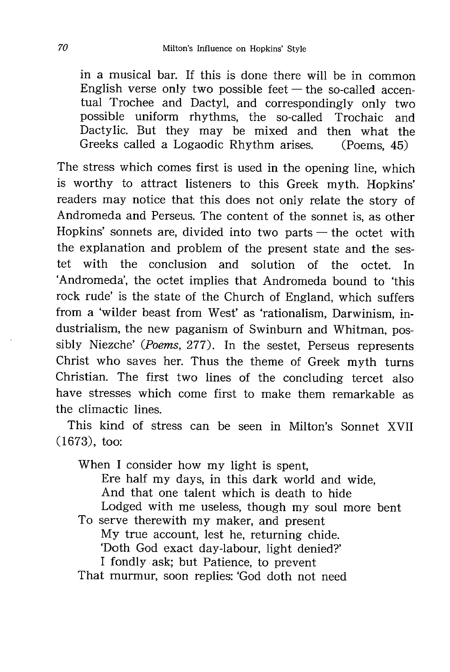in a musical bar. If this is done there will be in common English verse only two possible feet  $-$  the so-called accentual Trochee and Dactyl, and correspondingly only two possible uniform rhythms, the so-called Trochaic and Dactylic. But they may be mixed and then what the Greeks called a Logaodic Rhythm arises. (Poems, 45)

The stress which comes first is used in the opening line, which is worthy to attract listeners to this Greek myth. Hopkins' readers may notice that this does not only relate the story of Andromeda and Perseus. The content of the sonnet is, as other Hopkins' sonnets are, divided into two parts  $-$  the octet with the explanation and problem of the present state and the sestet with the conclusion and solution of the octet. In `Andromeda' , the octet implies that Andromeda bound to 'this rock rude' is the state of the Church of England, which suffers from a 'wilder beast from West' as 'rationalism, Darwinism, industrialism, the new paganism of Swinburn and Whitman, possibly Niezche' (Poems, 277). In the sestet, Perseus represents Christ who saves her. Thus the theme of Greek myth turns Christian. The first two lines of the concluding tercet also have stresses which come first to make them remarkable as the climactic lines.

This kind of stress can be seen in Milton's Sonnet XVII (1673), too:

When I consider how my light is spent. Ere half my days, in this dark world and wide, And that one talent which is death to hide Lodged with me useless, though my soul more bent To serve therewith my maker, and present My true account, lest he, returning chide.

`Doth God exact d ay-labour, light denied?'

I fondly ask; but Patience, to prevent

That murmur, soon replies: 'God doth not need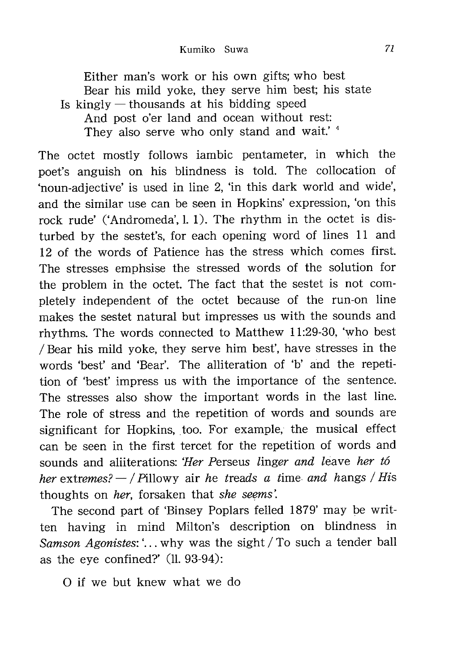Either man's work or his own gifts; who best Bear his mild yoke, they serve him best; his state Is kingly  $-$  thousands at his bidding speed And post o'er land and ocean without rest: They also serve who only stand and wait.'<sup>4</sup>

The octet mostly follows iambic pentameter, in which the poet's anguish on his blindness is told. The collocation of `noun -adjective' is used in line 2, 'in this dark world and wide', and the similar use can be seen in Hopkins' expression, 'on this rock rude' ('Andromeda', 1, 1). The rhythm in the octet is disturbed by the sestet's, for each opening word of lines 11 and 12 of the words of Patience has the stress which comes first. The stresses emphsise the stressed words of the solution for the problem in the octet. The fact that the sestet is not completely independent of the octet because of the run-on line makes the sestet natural but impresses us with the sounds and rhythms. The words connected to Matthew 11:29-30, 'who best / Bear his mild yoke, they serve him best', have stresses in the words 'best' and 'Bear'. The alliteration of 'b' and the repetition of 'best' impress us with the importance of the sentence. The stresses also show the important words in the last line. The role of stress and the repetition of words and sounds are significant for Hopkins, too. For example, the musical effect can be seen in the first tercet for the repetition of words and sounds and aliiterations: 'Her Perseus linger and leave her to her extremes?  $-$  / Pillowy air he treads a time and hangs / His thoughts on her, forsaken that she seems'.

The second part of 'Binsey Poplars felled 1879' may be written having in mind Milton's description on blindness in Samson Agonistes: '... why was the sight / To such a tender ball as the eye confined?' (11. 93-94):

0 if we but knew what we do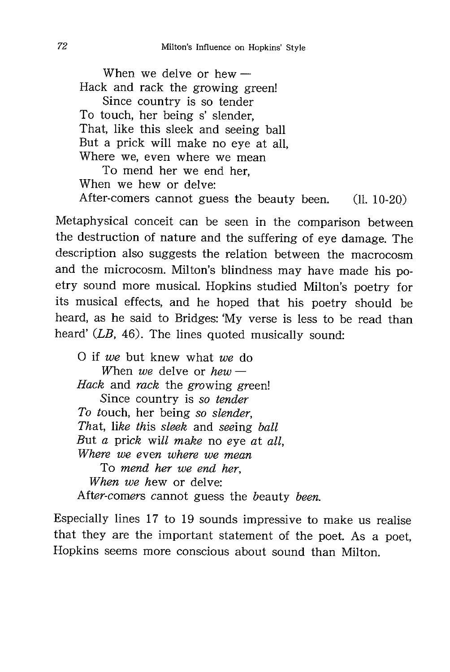When we delve or hew — Hack and rack the growing green! Since country is so tender To touch, her being s' slender, That, like this sleek and seeing ball But a prick will make no eye at all, Where we, even where we mean To mend her we end her, When we hew or delve: After-comers cannot guess the beauty been. (11. 10-20)

Metaphysical conceit can be seen in the comparison between the destruction of nature and the suffering of eye damage. The description also suggests the relation between the macrocosm and the microcosm. Milton's blindness may have made his poetry sound more musical. Hopkins studied Milton's poetry for its musical effects, and he hoped that his poetry should be heard, as he said to Bridges: 'My verse is less to be read than heard' (LB, 46). The lines quoted musically sound:

0 if we but knew what we do When we delve or  $hew -$ Hack and rack the growing green! Since country is so tender To touch, her being so slender, That, like this sleek and seeing ball But a prick will make no eye at all, Where we even where we mean To mend her we end her, When we hew or delve: After-comers cannot guess the beauty been.

Especially lines 17 to 19 sounds impressive to make us realise that they are the important statement of the poet. As a poet, Hopkins seems more conscious about sound than Milton.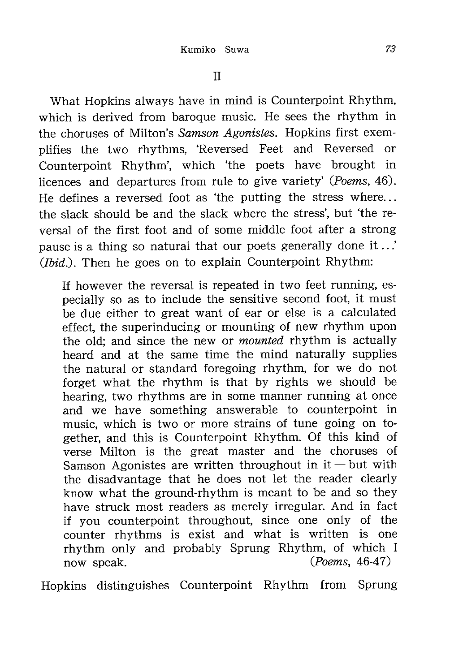What Hopkins always have in mind is Counterpoint Rhythm, which is derived from baroque music. He sees the rhythm in the choruses of Milton's Samson Agonistes. Hopkins first exemplifies the two rhythms, 'Reversed Feet and Reversed or Counterpoint Rhythm', which 'the poets have brought in licences and departures from rule to give variety' (Poems, 46). He defines a reversed foot as 'the putting the stress where... the slack should be and the slack where the stress', but 'the reversal of the first foot and of some middle foot after a strong pause is a thing so natural that our poets generally done it ..' (*Ibid.*). Then he goes on to explain Counterpoint Rhythm:

If however the reversal is repeated in two feet running, especially so as to include the sensitive second foot, it must be due either to great want of ear or else is a calculated effect, the superinducing or mounting of new rhythm upon the old; and since the new or *mounted* rhythm is actually heard and at the same time the mind naturally supplies the natural or standard foregoing rhythm, for we do not forget what the rhythm is that by rights we should be hearing, two rhythms are in some manner running at once and we have something answerable to counterpoint in music, which is two or more strains of tune going on together, and this is Counterpoint Rhythm. Of this kind of verse Milton is the great master and the choruses of Samson Agonistes are written throughout in  $it$  – but with the disadvantage that he does not let the reader clearly know what the ground-rhythm is meant to be and so they have struck most readers as merely irregular. And in fact if you counterpoint throughout, since one only of the counter rhythms is exist and what is written is one rhythm only and probably Sprung Rhythm, of which I now speak. (*Poems*, 46-47)

Hopkins distinguishes Counterpoint Rhythm from Sprung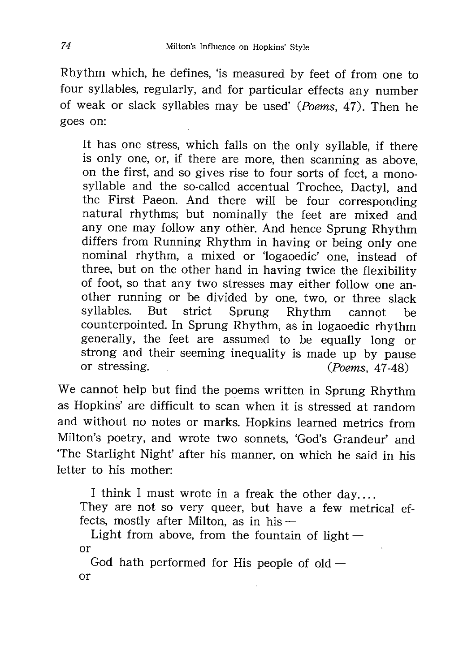Rhythm which, he defines, 'is measured by feet of from one to four syllables, regularly, and for particular effects any number of weak or slack syllables may be used' (Poems, 47). Then he goes on:

It has one stress, which falls on the only syllable, if there is only one, or, if there are more, then scanning as above, on the first, and so gives rise to four sorts of feet, a monosyllable and the so-called accentual Trochee, Dactyl, and the First Paeon. And there will be four corresponding natural rhythms; but nominally the feet are mixed and any one may follow any other. And hence Sprung Rhythm differs from Running Rhythm in having or being only one nominal rhythm, a mixed or 'logaoedic' one, instead of three, but on the other hand in having twice the flexibility of foot, so that any two stresses may either follow one another running or be divided by one, two, or three slack syllables. But strict Sprung Rhythm cannot be counterpointed. In Sprung Rhythm, as in logaoedic rhythm generally, the feet are assumed to be equally long or strong and their seeming inequality is made up by pause<br>or stressing.  $(Poems. 47-48)$  $(Poems, 47-48)$ 

We cannot help but find the poems written in Sprung Rhythm as Hopkins' are difficult to scan when it is stressed at random and without no notes or marks. Hopkins learned metrics from Milton's poetry, and wrote two sonnets, 'God's Grandeur' and The Starlight Night' after his manner, on which he said in his letter to his mother:

I think I must wrote in a freak the other day.... They are not so very queer, but have a few metrical effects, mostly after Milton, as in his —

Light from above, from the fountain of light  $$ or

God hath performed for His people of  $old$  – or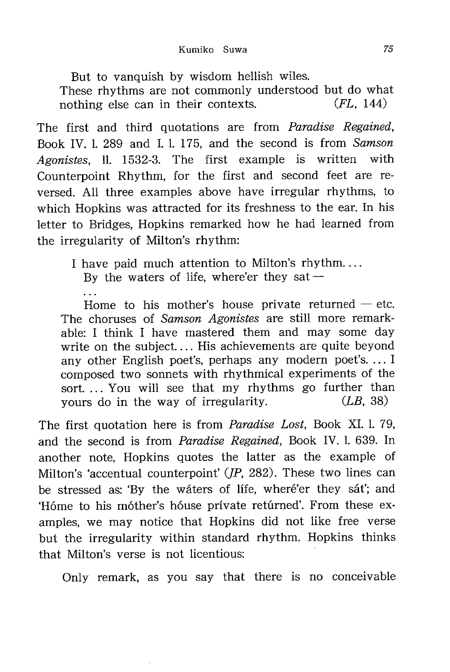But to vanquish by wisdom hellish wiles. These rhythms are not commonly understood but do what nothing else can in their contexts. (*FL*, 144)

The first and third quotations are from *Paradise Regained*, Book IV. 1. 289 and I. 1. 175, and the second is from Samson Agonistes, 11. 1532-3. The first example is written with Counterpoint Rhythm, for the first and second feet are reversed. All three examples above have irregular rhythms, to which Hopkins was attracted for its freshness to the ear. In his letter to Bridges, Hopkins remarked how he had learned from the irregularity of Milton's rhythm:

I have paid much attention to Milton's rhythm....

By the waters of life, where'er they sat  $-$ 

 $\overline{1}$ 

Home to his mother's house private returned  $-$  etc. The choruses of Samson Agonistes are still more remarkable: I think I have mastered them and may some day write on the subject.... His achievements are quite beyond any other English poet's, perhaps any modern poet's. ... I composed two sonnets with rhythmical experiments of the sort. ... You will see that my rhythms go further than yours do in the way of irregularity.  $(LB, 38)$ 

The first quotation here is from Paradise Lost, Book XI. 1. 79, and the second is from Paradise Regained, Book IV. 1. 639. In another note, Hopkins quotes the latter as the example of Milton's 'accentual counterpoint'  $(IP, 282)$ . These two lines can be stressed as: 'By the waters of life, where'er they sat'; and 'Hóme to his móther's hóuse prívate retúrned'. From these examples, we may notice that Hopkins did not like free verse but the irregularity within standard rhythm. Hopkins thinks that Milton's verse is not licentious:

Only remark, as you say that there is no conceivable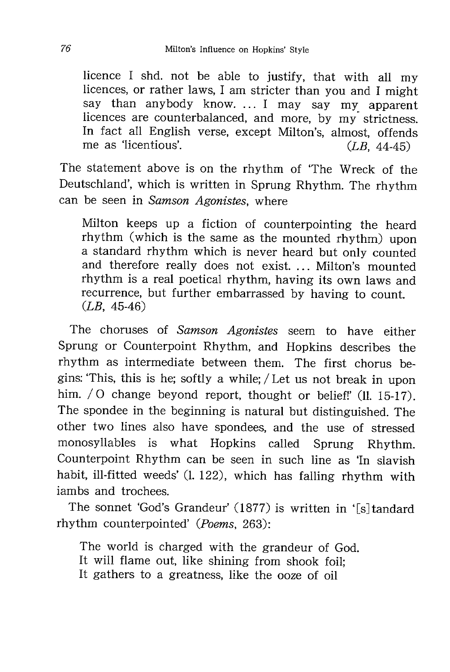licence I shd. not be able to justify, that with all my licences, or rather laws, I am stricter than you and I might say than anybody know. ... I may say my apparent licences are counterbalanced, and more, by my strictness. In fact all English verse, except Milton's, almost, offends me as 'licentious'.  $(LB, 44-45)$ 

The statement above is on the rhythm of The Wreck of the Deutschland', which is written in Sprung Rhythm. The rhythm can be seen in Samson Agonistes, where

Milton keeps up a fiction of counterpointing the heard rhythm (which is the same as the mounted rhythm) upon a standard rhythm which is never heard but only counted and therefore really does not exist. ... Milton's mounted rhythm is a real poetical rhythm, having its own laws and recurrence, but further embarrassed by having to count.  $(LB, 45-46)$ 

The choruses of Samson Agonistes seem to have either Sprung or Counterpoint Rhythm, and Hopkins describes the rhythm as intermediate between them. The first chorus begins: 'This, this is he; softly a while; / Let us not break in upon him. / O change beyond report, thought or belief!' (11. 15-17). The spondee in the beginning is natural but distinguished. The other two lines also have spondees, and the use of stressed monosyllables is what Hopkins called Sprung Rhythm. Counterpoint Rhythm can be seen in such line as 'In slavish habit, ill-fitted weeds' (1. 122), which has falling rhythm with iambs and trochees.

The sonnet 'God's Grandeur' (1877) is written in '[s]tandard rhythm counterpointed' (Poems, 263):

The world is charged with the grandeur of God. It will flame out, like shining from shook foil; It gathers to a greatness, like the ooze of oil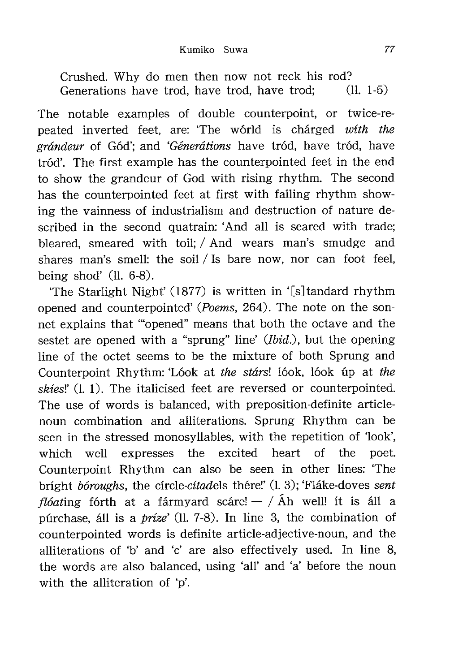Crushed. Why do men then now not reck his rod? Generations have trod, have trod, have trod; (11. 1-5)

The notable examples of double counterpoint, or twice-repeated inverted feet, are: 'The world is charged with the grándeur of Gód'; and 'Génerátions have tród, have tród, have tród'. The first example has the counterpointed feet in the end to show the grandeur of God with rising rhythm. The second has the counterpointed feet at first with falling rhythm showing the vainness of industrialism and destruction of nature described in the second quatrain: 'And all is seared with trade; bleared, smeared with toil; / And wears man's smudge and shares man's smell: the soil / Is bare now, nor can foot feel, being shod'  $(11. 6-8)$ .

'The Starlight Night'  $(1877)$  is written in '[s] tandard rhythm opened and counterpointed' (Poems, 264). The note on the sonnet explains that "opened" means that both the octave and the sestet are opened with a "sprung" line' (Ibid.), but the opening line of the octet seems to be the mixture of both Sprung and Counterpoint Rhythm: 'Lóok at the stárs! lóok, lóok úp at the skies!' (1. 1). The italicised feet are reversed or counterpointed. The use of words is balanced, with preposition-definite articlenoun combination and alliterations. Sprung Rhythm can be seen in the stressed monosyllables, with the repetition of 'look', which well expresses the excited heart of the poet. Counterpoint Rhythm can also be seen in other lines: The bright bóroughs, the circle-citadels thére!' (1.3); 'Fláke-doves sent *flóating* fórth at a fármyard scáre! — / Áh well! it is áll a purchase, all is a prize' (11. 7-8). In line 3, the combination of counterpointed words is definite article-adjective-noun, and the alliterations of 'b' and 'c' are also effectively used. In line 8, the words are also balanced, using 'all' and 'a' before the noun with the alliteration of 'p'.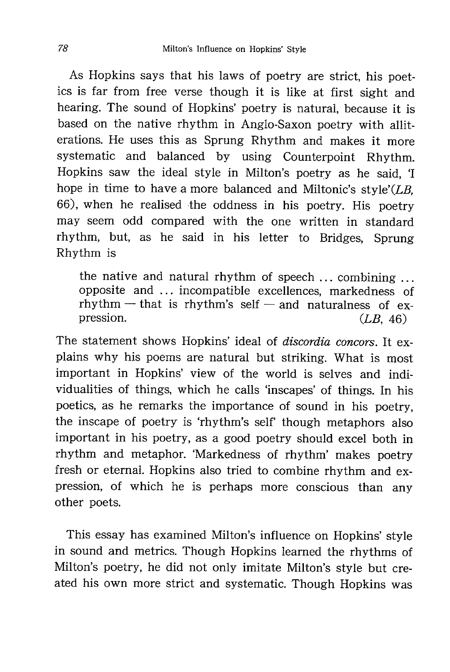As Hopkins says that his laws of poetry are strict, his poetics is far from free verse though it is like at first sight and hearing. The sound of Hopkins' poetry is natural, because it is based on the native rhythm in Anglo-Saxon poetry with alliterations. He uses this as Sprung Rhythm and makes it more systematic and balanced by using Counterpoint Rhythm. Hopkins saw the ideal style in Milton's poetry as he said, 'I hope in time to have a more balanced and Miltonic's style'( $LB$ , 66), when he realised the oddness in his poetry. His poetry may seem odd compared with the one written in standard rhythm, but, as he said in his letter to Bridges, Sprung Rhythm is

the native and natural rhythm of speech ... combining ... opposite and ... incompatible excellences, markedness of  $r$ hythm — that is rhythm's self — and naturalness of expression.  $(LB, 46)$ 

The statement shows Hopkins' ideal of discordia concors. It explains why his poems are natural but striking. What is most important in Hopkins' view of the world is selves and individualities of things, which he calls 'inscapes' of things. In his poetics, as he remarks the importance of sound in his poetry, the inscape of poetry is 'rhythm's self' though metaphors also important in his poetry, as a good poetry should excel both in rhythm and metaphor. 'Markedness of rhythm' makes poetry fresh or eternal. Hopkins also tried to combine rhythm and expression, of which he is perhaps more conscious than any other poets.

This essay has examined Milton's influence on Hopkins' style in sound and metrics. Though Hopkins learned the rhythms of Milton's poetry, he did not only imitate Milton's style but created his own more strict and systematic. Though Hopkins was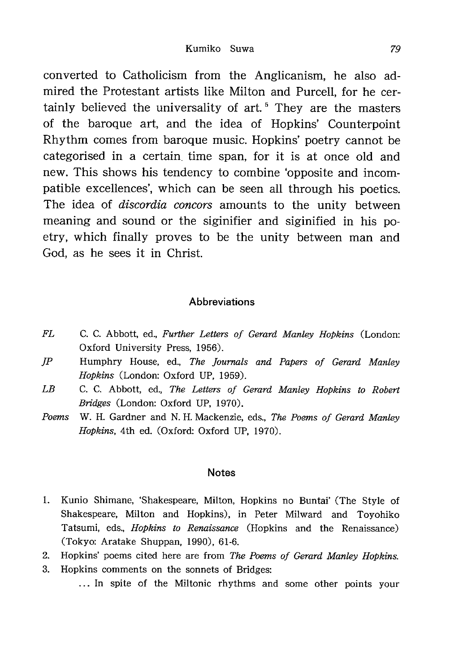converted to Catholicism from the Anglicanism, he also admired the Protestant artists like Milton and Purcell, for he certainly believed the universality of art.<sup>5</sup> They are the masters of the baroque art, and the idea of Hopkins' Counterpoint Rhythm comes from baroque music. Hopkins' poetry cannot be categorised in a certain time span, for it is at once old and new. This shows his tendency to combine 'opposite and incompatible excellences', which can be seen all through his poetics. The idea of *discordia concors* amounts to the unity between meaning and sound or the siginifier and siginified in his poetry, which finally proves to be the unity between man and God, as he sees it in Christ.

### **Abbreviations**

- FL C. C. Abbott, ed., Further Letters of Gerard Manley Hopkins (London: Oxford University Press, 1956).
- JP Humphry House, ed., The Journals and Papers of Gerard Manley Hopkins (London: Oxford UP, 1959).
- LB C. C. Abbott, ed., The Letters of Gerard Manley Hopkins to Robert Bridges (London: Oxford UP, 1970).
- Poems W. H. Gardner and N. H. Mackenzie, eds., The Poems of Gerard Manley Hopkins, 4th ed. (Oxford: Oxford UP, 1970).

#### Notes

- 1. Kunio Shimane, 'Shakespeare, Milton, Hopkins no Buntai' (The Style of Shakespeare, Milton and Hopkins), in Peter Milward and Toyohiko Tatsumi, eds., Hopkins to Renaissance (Hopkins and the Renaissance) (Tokyo: Aratake Shuppan, 1990), 61-6.
- 2. Hopkins' poems cited here are from The Poems of Gerard Manley Hopkins.
- 3. Hopkins comments on the sonnets of Bridges: ... In spite of the Miltonic rhythms and some other points your